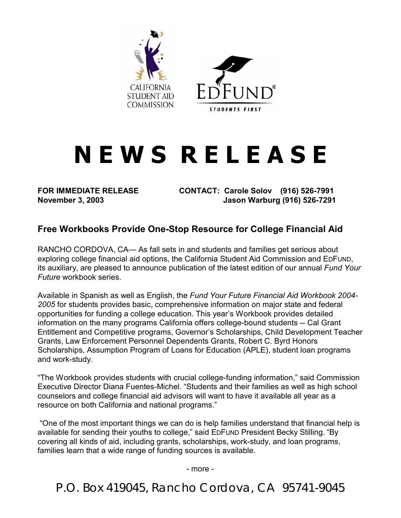

## **N E W S R E L E A S E**

**FOR IMMEDIATE RELEASE CONTACT: Carole Solov (916) 526-7991 November 3, 2003 Jason Warburg (916) 526-7291** 

## **Free Workbooks Provide One-Stop Resource for College Financial Aid**

RANCHO CORDOVA, CA— As fall sets in and students and families get serious about exploring college financial aid options, the California Student Aid Commission and EDFUND, its auxiliary, are pleased to announce publication of the latest edition of our annual *Fund Your Future* workbook series.

Available in Spanish as well as English, the *Fund Your Future Financial Aid Workbook 2004- 2005* for students provides basic, comprehensive information on major state and federal opportunities for funding a college education. This year's Workbook provides detailed information on the many programs California offers college-bound students -- Cal Grant Entitlement and Competitive programs, Governor's Scholarships, Child Development Teacher Grants, Law Enforcement Personnel Dependents Grants, Robert C. Byrd Honors Scholarships, Assumption Program of Loans for Education (APLE), student loan programs and work-study.

"The Workbook provides students with crucial college-funding information," said Commission Executive Director Diana Fuentes-Michel. "Students and their families as well as high school counselors and college financial aid advisors will want to have it available all year as a resource on both California and national programs."

 "One of the most important things we can do is help families understand that financial help is available for sending their youths to college," said EDFUND President Becky Stilling. "By covering all kinds of aid, including grants, scholarships, work-study, and loan programs, families learn that a wide range of funding sources is available.

- more -

P.O. Box 419045, Rancho Cordova, CA 95741-9045